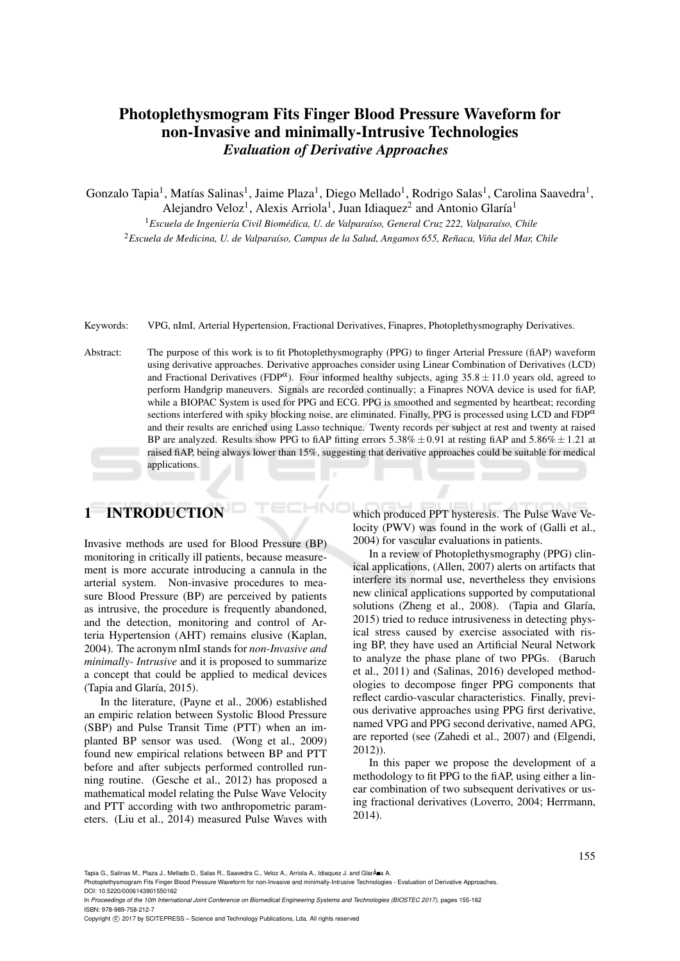# Photoplethysmogram Fits Finger Blood Pressure Waveform for non-Invasive and minimally-Intrusive Technologies *Evaluation of Derivative Approaches*

Gonzalo Tapia<sup>1</sup>, Matías Salinas<sup>1</sup>, Jaime Plaza<sup>1</sup>, Diego Mellado<sup>1</sup>, Rodrigo Salas<sup>1</sup>, Carolina Saavedra<sup>1</sup>,

Alejandro Veloz<sup>1</sup>, Alexis Arriola<sup>1</sup>, Juan Idiaquez<sup>2</sup> and Antonio Glaría<sup>1</sup>

<sup>1</sup> Escuela de Ingeniería Civil Biomédica, U. de Valparaíso, General Cruz 222, Valparaíso, Chile <sup>2</sup>*Escuela de Medicina, U. de Valpara´ıso, Campus de la Salud, Angamos 655, Renaca, Vi ˜ na del Mar, Chile ˜*

Keywords: VPG, nImI, Arterial Hypertension, Fractional Derivatives, Finapres, Photoplethysmography Derivatives.

Abstract: The purpose of this work is to fit Photoplethysmography (PPG) to finger Arterial Pressure (fiAP) waveform using derivative approaches. Derivative approaches consider using Linear Combination of Derivatives (LCD) and Fractional Derivatives (FDP $\alpha$ ). Four informed healthy subjects, aging 35.8  $\pm$  11.0 years old, agreed to perform Handgrip maneuvers. Signals are recorded continually; a Finapres NOVA device is used for fiAP, while a BIOPAC System is used for PPG and ECG. PPG is smoothed and segmented by heartbeat; recording sections interfered with spiky blocking noise, are eliminated. Finally, PPG is processed using LCD and FDP<sup>a</sup> and their results are enriched using Lasso technique. Twenty records per subject at rest and twenty at raised BP are analyzed. Results show PPG to fiAP fitting errors 5.38%  $\pm$  0.91 at resting fiAP and 5.86%  $\pm$  1.21 at raised fiAP, being always lower than 15%, suggesting that derivative approaches could be suitable for medical applications.

# 1 INTRODUCTION

Invasive methods are used for Blood Pressure (BP) monitoring in critically ill patients, because measurement is more accurate introducing a cannula in the arterial system. Non-invasive procedures to measure Blood Pressure (BP) are perceived by patients as intrusive, the procedure is frequently abandoned, and the detection, monitoring and control of Arteria Hypertension (AHT) remains elusive (Kaplan, 2004). The acronym nImI stands for *non-Invasive and minimally- Intrusive* and it is proposed to summarize a concept that could be applied to medical devices (Tapia and Glaría, 2015).

In the literature, (Payne et al., 2006) established an empiric relation between Systolic Blood Pressure (SBP) and Pulse Transit Time (PTT) when an implanted BP sensor was used. (Wong et al., 2009) found new empirical relations between BP and PTT before and after subjects performed controlled running routine. (Gesche et al., 2012) has proposed a mathematical model relating the Pulse Wave Velocity and PTT according with two anthropometric parameters. (Liu et al., 2014) measured Pulse Waves with

which produced PPT hysteresis. The Pulse Wave Velocity (PWV) was found in the work of (Galli et al., 2004) for vascular evaluations in patients.

In a review of Photoplethysmography (PPG) clinical applications, (Allen, 2007) alerts on artifacts that interfere its normal use, nevertheless they envisions new clinical applications supported by computational solutions (Zheng et al., 2008). (Tapia and Glaría, 2015) tried to reduce intrusiveness in detecting physical stress caused by exercise associated with rising BP, they have used an Artificial Neural Network to analyze the phase plane of two PPGs. (Baruch et al., 2011) and (Salinas, 2016) developed methodologies to decompose finger PPG components that reflect cardio-vascular characteristics. Finally, previous derivative approaches using PPG first derivative, named VPG and PPG second derivative, named APG, are reported (see (Zahedi et al., 2007) and (Elgendi, 2012)).

In this paper we propose the development of a methodology to fit PPG to the fiAP, using either a linear combination of two subsequent derivatives or using fractional derivatives (Loverro, 2004; Herrmann, 2014).

Tapia G., Salinas M., Plaza J., Mellado D., Salas R., Saavedra C., Veloz A., Arriola A., Idiaquez J. and Glarà a A.

Photoplethysmogram Fits Finger Blood Pressure Waveform for non-Invasive and minimally-Intrusive Technologies - Evaluation of Derivative Approaches. DOI: 10.5220/0006143901550162

In *Proceedings of the 10th International Joint Conference on Biomedical Engineering Systems and Technologies (BIOSTEC 2017)*, pages 155-162 ISBN: 978-989-758-212-7

Copyright C 2017 by SCITEPRESS - Science and Technology Publications, Lda. All rights reserved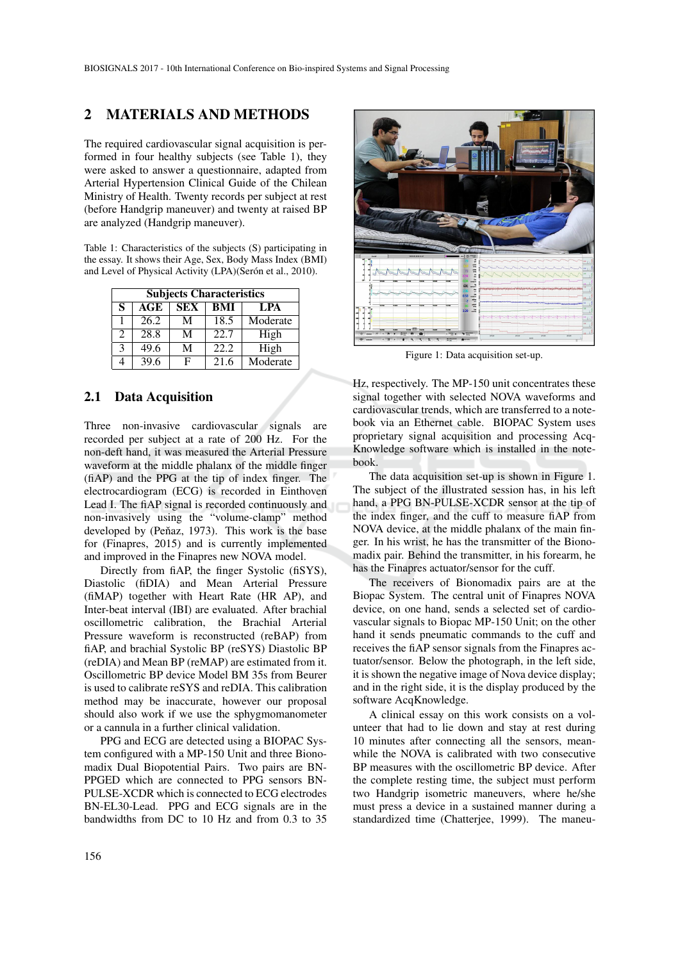### 2 MATERIALS AND METHODS

The required cardiovascular signal acquisition is performed in four healthy subjects (see Table 1), they were asked to answer a questionnaire, adapted from Arterial Hypertension Clinical Guide of the Chilean Ministry of Health. Twenty records per subject at rest (before Handgrip maneuver) and twenty at raised BP are analyzed (Handgrip maneuver).

Table 1: Characteristics of the subjects (S) participating in the essay. It shows their Age, Sex, Body Mass Index (BMI) and Level of Physical Activity (LPA)(Serón et al., 2010).

| <b>Subjects Characteristics</b> |      |            |      |          |  |  |
|---------------------------------|------|------------|------|----------|--|--|
| S                               | AGE  | <b>SEX</b> | BMI  | LPA      |  |  |
| 1                               | 26.2 | М          | 18.5 | Moderate |  |  |
| $\mathcal{D}_{\mathcal{L}}$     | 28.8 | M          | 22.7 | High     |  |  |
| 3                               | 49.6 | M          | 22.2 | High     |  |  |
|                                 | 39.6 | F          | 21.6 | Moderate |  |  |

### 2.1 Data Acquisition

Three non-invasive cardiovascular signals are recorded per subject at a rate of 200 Hz. For the non-deft hand, it was measured the Arterial Pressure waveform at the middle phalanx of the middle finger (fiAP) and the PPG at the tip of index finger. The electrocardiogram (ECG) is recorded in Einthoven Lead I. The fiAP signal is recorded continuously and non-invasively using the "volume-clamp" method developed by (Peňaz, 1973). This work is the base for (Finapres, 2015) and is currently implemented and improved in the Finapres new NOVA model.

Directly from fiAP, the finger Systolic (fiSYS), Diastolic (fiDIA) and Mean Arterial Pressure (fiMAP) together with Heart Rate (HR AP), and Inter-beat interval (IBI) are evaluated. After brachial oscillometric calibration, the Brachial Arterial Pressure waveform is reconstructed (reBAP) from fiAP, and brachial Systolic BP (reSYS) Diastolic BP (reDIA) and Mean BP (reMAP) are estimated from it. Oscillometric BP device Model BM 35s from Beurer is used to calibrate reSYS and reDIA. This calibration method may be inaccurate, however our proposal should also work if we use the sphygmomanometer or a cannula in a further clinical validation.

PPG and ECG are detected using a BIOPAC System configured with a MP-150 Unit and three Bionomadix Dual Biopotential Pairs. Two pairs are BN-PPGED which are connected to PPG sensors BN-PULSE-XCDR which is connected to ECG electrodes BN-EL30-Lead. PPG and ECG signals are in the bandwidths from DC to 10 Hz and from 0.3 to 35



Figure 1: Data acquisition set-up.

Hz, respectively. The MP-150 unit concentrates these signal together with selected NOVA waveforms and cardiovascular trends, which are transferred to a notebook via an Ethernet cable. BIOPAC System uses proprietary signal acquisition and processing Acq-Knowledge software which is installed in the notebook.

The data acquisition set-up is shown in Figure 1. The subject of the illustrated session has, in his left hand, a PPG BN-PULSE-XCDR sensor at the tip of the index finger, and the cuff to measure fiAP from NOVA device, at the middle phalanx of the main finger. In his wrist, he has the transmitter of the Bionomadix pair. Behind the transmitter, in his forearm, he has the Finapres actuator/sensor for the cuff.

The receivers of Bionomadix pairs are at the Biopac System. The central unit of Finapres NOVA device, on one hand, sends a selected set of cardiovascular signals to Biopac MP-150 Unit; on the other hand it sends pneumatic commands to the cuff and receives the fiAP sensor signals from the Finapres actuator/sensor. Below the photograph, in the left side, it is shown the negative image of Nova device display; and in the right side, it is the display produced by the software AcqKnowledge.

A clinical essay on this work consists on a volunteer that had to lie down and stay at rest during 10 minutes after connecting all the sensors, meanwhile the NOVA is calibrated with two consecutive BP measures with the oscillometric BP device. After the complete resting time, the subject must perform two Handgrip isometric maneuvers, where he/she must press a device in a sustained manner during a standardized time (Chatterjee, 1999). The maneu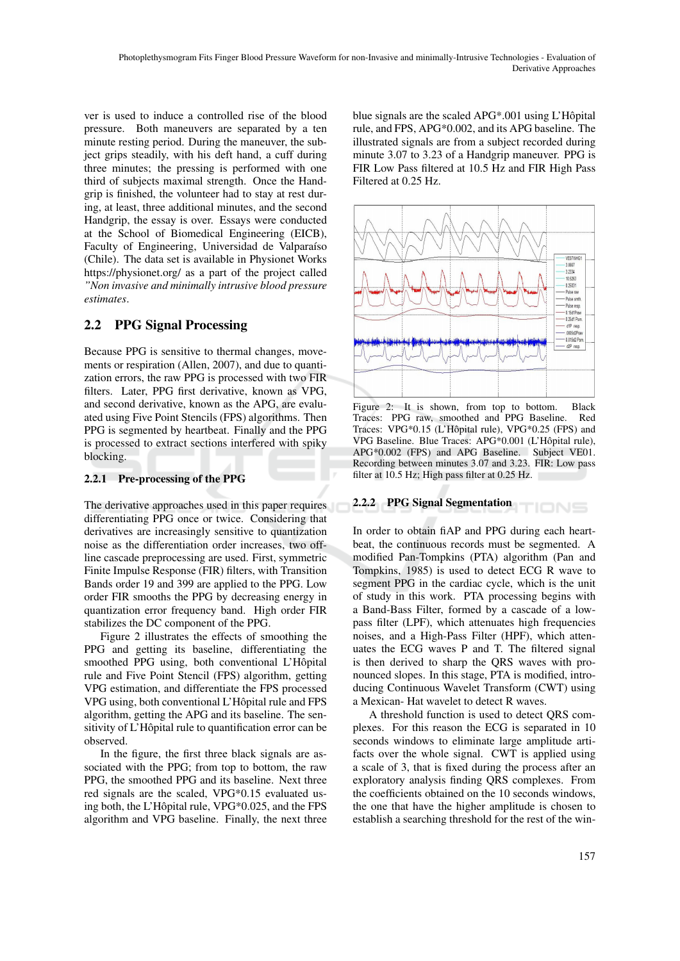ver is used to induce a controlled rise of the blood pressure. Both maneuvers are separated by a ten minute resting period. During the maneuver, the subject grips steadily, with his deft hand, a cuff during three minutes; the pressing is performed with one third of subjects maximal strength. Once the Handgrip is finished, the volunteer had to stay at rest during, at least, three additional minutes, and the second Handgrip, the essay is over. Essays were conducted at the School of Biomedical Engineering (EICB), Faculty of Engineering, Universidad de Valparaíso (Chile). The data set is available in Physionet Works https://physionet.org/ as a part of the project called *"Non invasive and minimally intrusive blood pressure estimates*.

## 2.2 PPG Signal Processing

Because PPG is sensitive to thermal changes, movements or respiration (Allen, 2007), and due to quantization errors, the raw PPG is processed with two FIR filters. Later, PPG first derivative, known as VPG, and second derivative, known as the APG, are evaluated using Five Point Stencils (FPS) algorithms. Then PPG is segmented by heartbeat. Finally and the PPG is processed to extract sections interfered with spiky blocking.

### 2.2.1 Pre-processing of the PPG

The derivative approaches used in this paper requires differentiating PPG once or twice. Considering that derivatives are increasingly sensitive to quantization noise as the differentiation order increases, two offline cascade preprocessing are used. First, symmetric Finite Impulse Response (FIR) filters, with Transition Bands order 19 and 399 are applied to the PPG. Low order FIR smooths the PPG by decreasing energy in quantization error frequency band. High order FIR stabilizes the DC component of the PPG.

Figure 2 illustrates the effects of smoothing the PPG and getting its baseline, differentiating the smoothed PPG using, both conventional L'Hôpital rule and Five Point Stencil (FPS) algorithm, getting VPG estimation, and differentiate the FPS processed VPG using, both conventional L'Hopital rule and FPS ˆ algorithm, getting the APG and its baseline. The sensitivity of L'Hôpital rule to quantification error can be observed.

In the figure, the first three black signals are associated with the PPG; from top to bottom, the raw PPG, the smoothed PPG and its baseline. Next three red signals are the scaled, VPG\*0.15 evaluated using both, the L'Hôpital rule,  $VPG*0.025$ , and the FPS algorithm and VPG baseline. Finally, the next three blue signals are the scaled APG\*.001 using L'Hôpital rule, and FPS, APG\*0.002, and its APG baseline. The illustrated signals are from a subject recorded during minute 3.07 to 3.23 of a Handgrip maneuver. PPG is FIR Low Pass filtered at 10.5 Hz and FIR High Pass Filtered at 0.25 Hz.



Figure 2: It is shown, from top to bottom. Black Traces: PPG raw, smoothed and PPG Baseline. Red Traces: VPG\*0.15 (L'Hôpital rule), VPG\*0.25 (FPS) and VPG Baseline. Blue Traces: APG\*0.001 (L'Hôpital rule), APG\*0.002 (FPS) and APG Baseline. Subject VE01. Recording between minutes 3.07 and 3.23. FIR: Low pass filter at 10.5 Hz; High pass filter at 0.25 Hz.

#### 2.2.2 PPG Signal Segmentation TIONS

In order to obtain fiAP and PPG during each heartbeat, the continuous records must be segmented. A modified Pan-Tompkins (PTA) algorithm (Pan and Tompkins, 1985) is used to detect ECG R wave to segment PPG in the cardiac cycle, which is the unit of study in this work. PTA processing begins with a Band-Bass Filter, formed by a cascade of a lowpass filter (LPF), which attenuates high frequencies noises, and a High-Pass Filter (HPF), which attenuates the ECG waves P and T. The filtered signal is then derived to sharp the QRS waves with pronounced slopes. In this stage, PTA is modified, introducing Continuous Wavelet Transform (CWT) using a Mexican- Hat wavelet to detect R waves.

A threshold function is used to detect QRS complexes. For this reason the ECG is separated in 10 seconds windows to eliminate large amplitude artifacts over the whole signal. CWT is applied using a scale of 3, that is fixed during the process after an exploratory analysis finding QRS complexes. From the coefficients obtained on the 10 seconds windows, the one that have the higher amplitude is chosen to establish a searching threshold for the rest of the win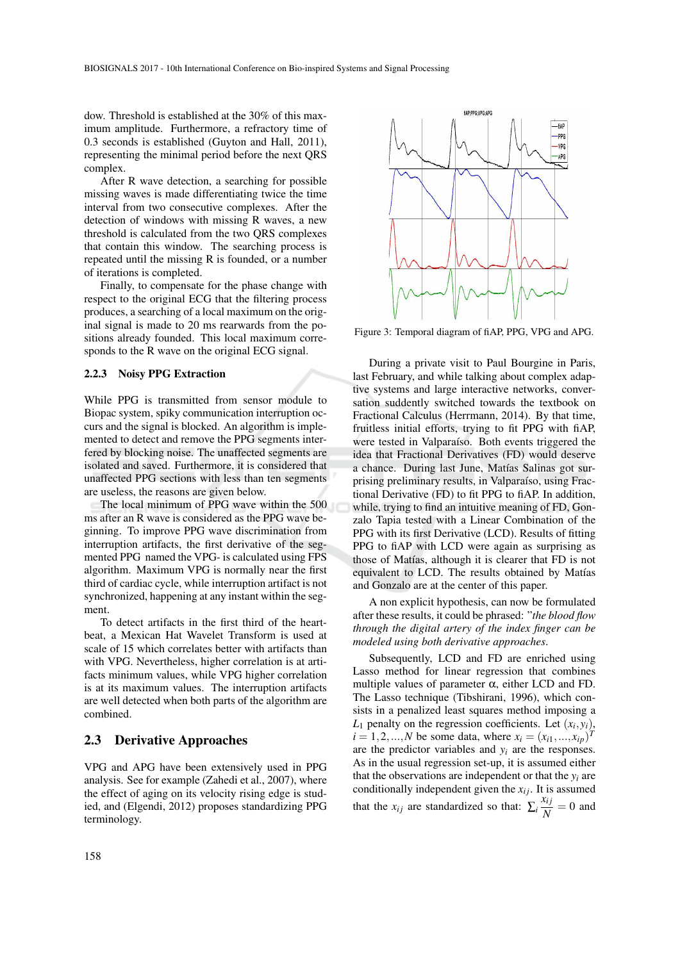dow. Threshold is established at the 30% of this maximum amplitude. Furthermore, a refractory time of 0.3 seconds is established (Guyton and Hall, 2011), representing the minimal period before the next QRS complex.

After R wave detection, a searching for possible missing waves is made differentiating twice the time interval from two consecutive complexes. After the detection of windows with missing R waves, a new threshold is calculated from the two QRS complexes that contain this window. The searching process is repeated until the missing R is founded, or a number of iterations is completed.

Finally, to compensate for the phase change with respect to the original ECG that the filtering process produces, a searching of a local maximum on the original signal is made to 20 ms rearwards from the positions already founded. This local maximum corresponds to the R wave on the original ECG signal.

#### 2.2.3 Noisy PPG Extraction

While PPG is transmitted from sensor module to Biopac system, spiky communication interruption occurs and the signal is blocked. An algorithm is implemented to detect and remove the PPG segments interfered by blocking noise. The unaffected segments are isolated and saved. Furthermore, it is considered that unaffected PPG sections with less than ten segments are useless, the reasons are given below.

The local minimum of PPG wave within the 500 ms after an R wave is considered as the PPG wave beginning. To improve PPG wave discrimination from interruption artifacts, the first derivative of the segmented PPG named the VPG- is calculated using FPS algorithm. Maximum VPG is normally near the first third of cardiac cycle, while interruption artifact is not synchronized, happening at any instant within the segment.

To detect artifacts in the first third of the heartbeat, a Mexican Hat Wavelet Transform is used at scale of 15 which correlates better with artifacts than with VPG. Nevertheless, higher correlation is at artifacts minimum values, while VPG higher correlation is at its maximum values. The interruption artifacts are well detected when both parts of the algorithm are combined.

### 2.3 Derivative Approaches

VPG and APG have been extensively used in PPG analysis. See for example (Zahedi et al., 2007), where the effect of aging on its velocity rising edge is studied, and (Elgendi, 2012) proposes standardizing PPG terminology.



Figure 3: Temporal diagram of fiAP, PPG, VPG and APG.

During a private visit to Paul Bourgine in Paris, last February, and while talking about complex adaptive systems and large interactive networks, conversation suddently switched towards the textbook on Fractional Calculus (Herrmann, 2014). By that time, fruitless initial efforts, trying to fit PPG with fiAP, were tested in Valparaíso. Both events triggered the idea that Fractional Derivatives (FD) would deserve a chance. During last June, Matías Salinas got surprising preliminary results, in Valparaíso, using Fractional Derivative (FD) to fit PPG to fiAP. In addition, while, trying to find an intuitive meaning of FD, Gonzalo Tapia tested with a Linear Combination of the PPG with its first Derivative (LCD). Results of fitting PPG to fiAP with LCD were again as surprising as those of Matías, although it is clearer that FD is not equivalent to LCD. The results obtained by Matías and Gonzalo are at the center of this paper.

A non explicit hypothesis, can now be formulated after these results, it could be phrased: "*the blood flow through the digital artery of the index finger can be modeled using both derivative approaches*.

Subsequently, LCD and FD are enriched using Lasso method for linear regression that combines multiple values of parameter  $\alpha$ , either LCD and FD. The Lasso technique (Tibshirani, 1996), which consists in a penalized least squares method imposing a  $L_1$  penalty on the regression coefficients. Let  $(x_i, y_i)$ ,  $i = 1, 2, ..., N$  be some data, where  $x_i = (x_{i1}, ..., x_{ip})^T$ are the predictor variables and  $y_i$  are the responses. As in the usual regression set-up, it is assumed either that the observations are independent or that the  $y_i$  are conditionally independent given the  $x_i$ <sup>*j*</sup>. It is assumed that the  $x_{ij}$  are standardized so that:  $\sum_{i} \frac{x_{ij}}{N}$  $\frac{\partial u_j}{\partial N} = 0$  and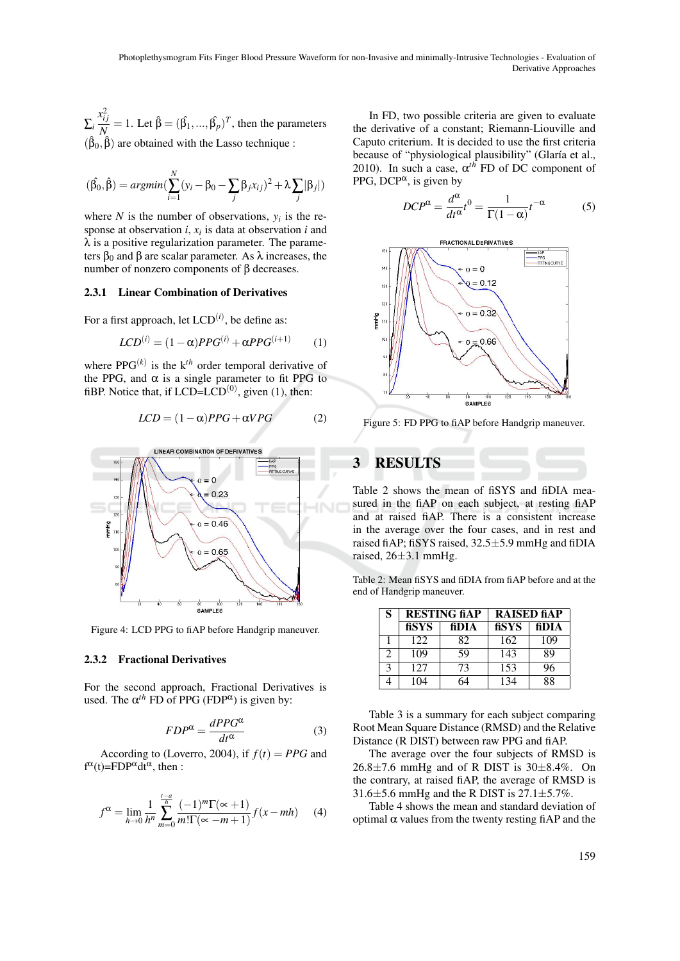∑*i*  $x_{ij}^2$  $\hat{N}_{\lambda}^{ij} = 1$ . Let  $\hat{\beta} = (\hat{\beta_1}, ..., \hat{\beta_p})^T$ , then the parameters  $(\hat{\beta}_0, \hat{\beta})$  are obtained with the Lasso technique :

$$
(\hat{\beta}_0, \hat{\beta}) = argmin(\sum_{i=1}^N (y_i - \beta_0 - \sum_j \beta_j x_{ij})^2 + \lambda \sum_j |\beta_j|)
$$

where  $N$  is the number of observations,  $y_i$  is the response at observation *i*, *x<sup>i</sup>* is data at observation *i* and  $\lambda$  is a positive regularization parameter. The parameters  $β_0$  and  $β$  are scalar parameter. As  $λ$  increases, the number of nonzero components of β decreases.

#### 2.3.1 Linear Combination of Derivatives

For a first approach, let  $LCD^{(i)}$ , be define as:

$$
LCD^{(i)} = (1 - \alpha)PPG^{(i)} + \alpha PPG^{(i+1)} \qquad (1)
$$

where  $PPG^{(k)}$  is the  $k^{th}$  order temporal derivative of the PPG, and  $\alpha$  is a single parameter to fit PPG to fiBP. Notice that, if  $LCD=LCD^{(0)}$ , given (1), then:

$$
LCD = (1 - \alpha)PPG + \alpha VPG \tag{2}
$$



Figure 4: LCD PPG to fiAP before Handgrip maneuver.

#### 2.3.2 Fractional Derivatives

For the second approach, Fractional Derivatives is used. The  $\alpha^{th}$  FD of PPG (FDP<sup> $\alpha$ </sup>) is given by:

$$
FDP^{\alpha} = \frac{dPPG^{\alpha}}{dt^{\alpha}} \tag{3}
$$

According to (Loverro, 2004), if  $f(t) = PPG$  and  $f^{\alpha}(t)=FDP^{\alpha}dt^{\alpha}$ , then :

$$
f^{\alpha} = \lim_{h \to 0} \frac{1}{h^n} \sum_{m=0}^{\frac{t-a}{h}} \frac{(-1)^m \Gamma(\infty + 1)}{m! \Gamma(\infty - m + 1)} f(x - mh)
$$
 (4)

In FD, two possible criteria are given to evaluate the derivative of a constant; Riemann-Liouville and Caputo criterium. It is decided to use the first criteria because of "physiological plausibility" (Glaría et al., 2010). In such a case,  $\alpha^{th}$  FD of DC component of PPG, DCP $\alpha$ , is given by

$$
DCP^{\alpha} = \frac{d^{\alpha}}{dt^{\alpha}}t^0 = \frac{1}{\Gamma(1-\alpha)}t^{-\alpha}
$$
 (5)



Figure 5: FD PPG to fiAP before Handgrip maneuver.

## 3 RESULTS

Table 2 shows the mean of fiSYS and fiDIA measured in the fiAP on each subject, at resting fiAP and at raised fiAP. There is a consistent increase in the average over the four cases, and in rest and raised fiAP; fiSYS raised, 32.5±5.9 mmHg and fiDIA raised,  $26\pm3.1$  mmHg.

Table 2: Mean fiSYS and fiDIA from fiAP before and at the end of Handgrip maneuver.

| S |       | <b>RESTING fiAP</b> | <b>RAISED fiAP</b> |       |  |
|---|-------|---------------------|--------------------|-------|--|
|   | fisys | fiDIA               | fisys              | fiDIA |  |
|   | 122   | 82                  | 162                | 109   |  |
| 2 | 109   | 59                  | 143                | 89    |  |
| 3 | 127   | 73                  | 153                | 96    |  |
|   | 104   |                     | 134                | 88    |  |

Table 3 is a summary for each subject comparing Root Mean Square Distance (RMSD) and the Relative Distance (R DIST) between raw PPG and fiAP.

The average over the four subjects of RMSD is  $26.8\pm7.6$  mmHg and of R DIST is  $30\pm8.4\%$ . On the contrary, at raised fiAP, the average of RMSD is  $31.6\pm5.6$  mmHg and the R DIST is  $27.1\pm5.7\%$ .

Table 4 shows the mean and standard deviation of optimal α values from the twenty resting fiAP and the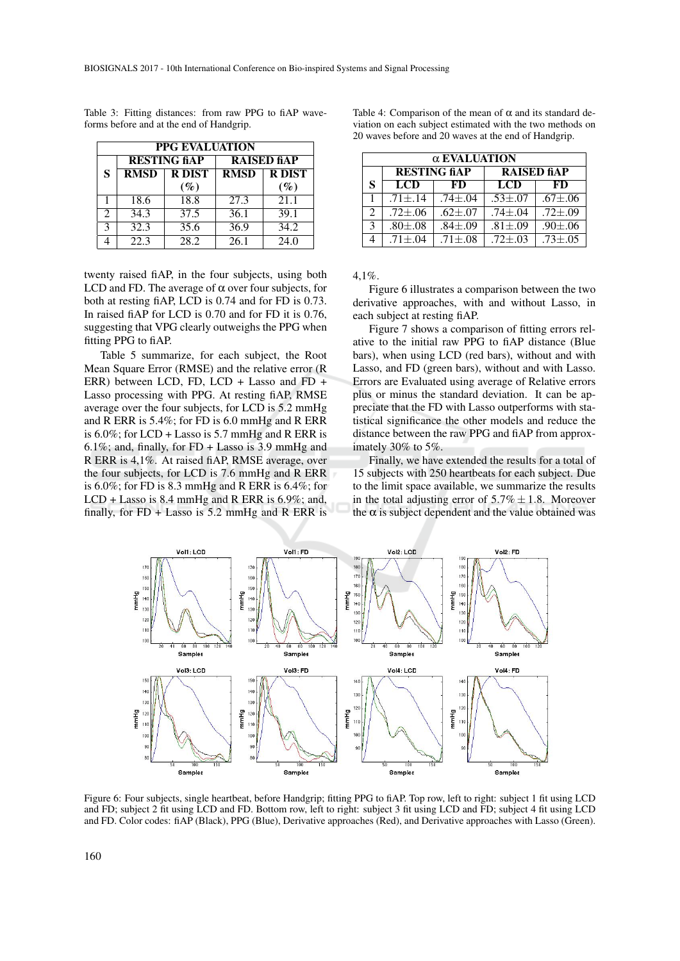| <b>PPG EVALUATION</b> |                     |               |                    |               |  |  |  |
|-----------------------|---------------------|---------------|--------------------|---------------|--|--|--|
|                       | <b>RESTING fiAP</b> |               | <b>RAISED fiAP</b> |               |  |  |  |
| S                     | <b>RMSD</b>         | <b>R DIST</b> | <b>RMSD</b>        | <b>R DIST</b> |  |  |  |
|                       |                     | $(\%)$        |                    | $(\%)$        |  |  |  |
|                       | 18.6                | 18.8          | 27.3               | 21.1          |  |  |  |
| 2                     | 34.3                | 37.5          | 36.1               | 39.1          |  |  |  |
| $\mathbf{R}$          | 32.3                | 35.6          | 36.9               | 34.2          |  |  |  |
|                       | 22.3                | 28.2          | 26.1               | 24.0          |  |  |  |

Table 3: Fitting distances: from raw PPG to fiAP waveforms before and at the end of Handgrip.

twenty raised fiAP, in the four subjects, using both LCD and FD. The average of  $\alpha$  over four subjects, for both at resting fiAP, LCD is 0.74 and for FD is 0.73. In raised fiAP for LCD is 0.70 and for FD it is 0.76, suggesting that VPG clearly outweighs the PPG when fitting PPG to fiAP.

Table 5 summarize, for each subject, the Root Mean Square Error (RMSE) and the relative error (R ERR) between LCD, FD, LCD + Lasso and FD + Lasso processing with PPG. At resting fiAP, RMSE average over the four subjects, for LCD is 5.2 mmHg and R ERR is 5.4%; for FD is 6.0 mmHg and R ERR is  $6.0\%$ ; for LCD + Lasso is 5.7 mmHg and R ERR is 6.1%; and, finally, for FD + Lasso is 3.9 mmHg and R ERR is 4,1%. At raised fiAP, RMSE average, over the four subjects, for LCD is 7.6 mmHg and R ERR is 6.0%; for FD is 8.3 mmHg and R ERR is 6.4%; for LCD + Lasso is 8.4 mmHg and R ERR is 6.9%; and, finally, for FD + Lasso is 5.2 mmHg and R ERR is

Table 4: Comparison of the mean of  $\alpha$  and its standard deviation on each subject estimated with the two methods on 20 waves before and 20 waves at the end of Handgrip.

| α EVALUATION                |                     |                 |                    |                 |  |  |  |
|-----------------------------|---------------------|-----------------|--------------------|-----------------|--|--|--|
|                             | <b>RESTING fiAP</b> |                 | <b>RAISED fiAP</b> |                 |  |  |  |
| S                           | <b>LCD</b>          | FD              | <b>LCD</b>         | FD              |  |  |  |
|                             | $.71 \pm .14$       | $.74 + .04$     | $.53 \pm .07$      | $.67{\pm}0.06$  |  |  |  |
| $\mathcal{D}_{\mathcal{L}}$ | $.72 {\pm} .06$     | $.62{\pm}.07$   | $.74 \pm .04$      | $.72 {\pm} .09$ |  |  |  |
| $\mathcal{R}$               | $.80{\pm}08$        | $.84 {\pm} .09$ | $.81 {\pm} .09$    | $.90{\pm}0.06$  |  |  |  |
|                             | $.71 \pm .04$       | $.71 {\pm} .08$ | $.72 + .03$        | $.73 + .05$     |  |  |  |

4,1%.

Figure 6 illustrates a comparison between the two derivative approaches, with and without Lasso, in each subject at resting fiAP.

Figure 7 shows a comparison of fitting errors relative to the initial raw PPG to fiAP distance (Blue bars), when using LCD (red bars), without and with Lasso, and FD (green bars), without and with Lasso. Errors are Evaluated using average of Relative errors plus or minus the standard deviation. It can be appreciate that the FD with Lasso outperforms with statistical significance the other models and reduce the distance between the raw PPG and fiAP from approximately 30% to 5%.

Finally, we have extended the results for a total of 15 subjects with 250 heartbeats for each subject. Due to the limit space available, we summarize the results in the total adjusting error of  $5.7\% \pm 1.8$ . Moreover the  $\alpha$  is subject dependent and the value obtained was



Figure 6: Four subjects, single heartbeat, before Handgrip; fitting PPG to fiAP. Top row, left to right: subject 1 fit using LCD and FD; subject 2 fit using LCD and FD. Bottom row, left to right: subject 3 fit using LCD and FD; subject 4 fit using LCD and FD. Color codes: fiAP (Black), PPG (Blue), Derivative approaches (Red), and Derivative approaches with Lasso (Green).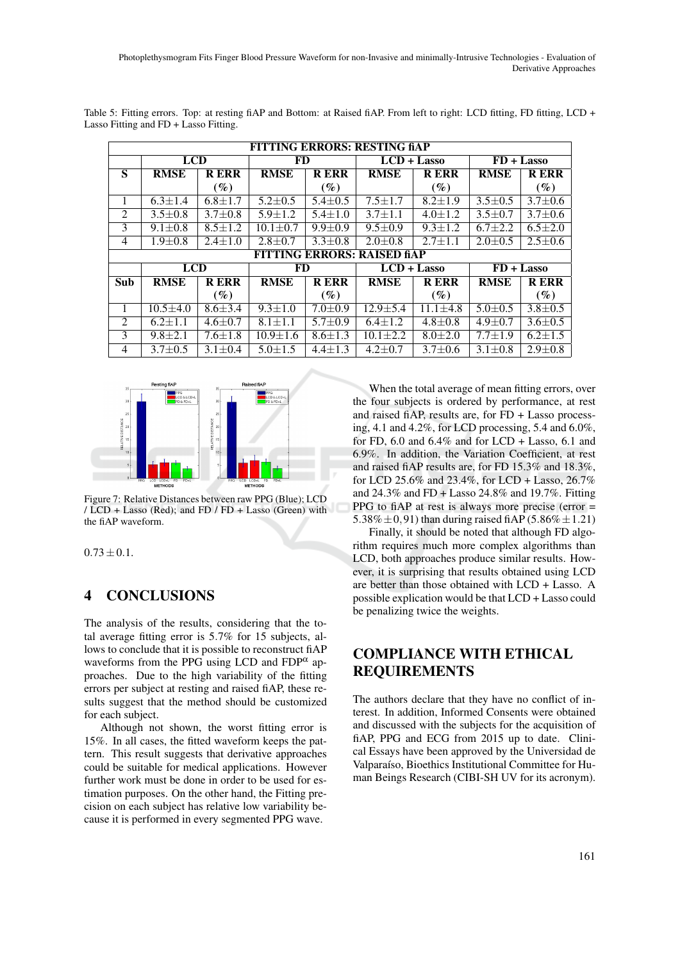| <b>FITTING ERRORS: RESTING fiAP</b> |                                    |               |                |               |               |                |               |               |
|-------------------------------------|------------------------------------|---------------|----------------|---------------|---------------|----------------|---------------|---------------|
|                                     | <b>LCD</b>                         |               | FD             |               | $LCD + Lasso$ |                | $FD + Lasso$  |               |
| S                                   | <b>RMSE</b>                        | <b>RERR</b>   | <b>RMSE</b>    | <b>RERR</b>   | <b>RMSE</b>   | <b>RERR</b>    | <b>RMSE</b>   | <b>RERR</b>   |
|                                     |                                    | $(\%)$        |                | $(\%)$        |               | $(\%)$         |               | $(\%)$        |
| 1                                   | $6.3 \pm 1.4$                      | $6.8 \pm 1.7$ | $5.2 \pm 0.5$  | $5.4 \pm 0.5$ | $7.5 \pm 1.7$ | $8.2 \pm 1.9$  | $3.5 \pm 0.5$ | $3.7 \pm 0.6$ |
| 2                                   | $3.5 \pm 0.8$                      | $3.7 \pm 0.8$ | $5.9 \pm 1.2$  | $5.4 + 1.0$   | $3.7 + 1.1$   | $4.0 + 1.2$    | $3.5 \pm 0.7$ | $3.7 \pm 0.6$ |
| 3                                   | $9.1 \pm 0.8$                      | $8.5 \pm 1.2$ | $10.1 \pm 0.7$ | $9.9 \pm 0.9$ | $9.5 \pm 0.9$ | $9.3 \pm 1.2$  | $6.7 \pm 2.2$ | $6.5 \pm 2.0$ |
| $\overline{4}$                      | $1.9 \pm 0.8$                      | $2.4 \pm 1.0$ | $2.8 \pm 0.7$  | $3.3 \pm 0.8$ | $2.0 \pm 0.8$ | $2.7 \pm 1.1$  | $2.0 \pm 0.5$ | $2.5 \pm 0.6$ |
|                                     | <b>FITTING ERRORS: RAISED fiAP</b> |               |                |               |               |                |               |               |
|                                     | <b>LCD</b>                         |               | FD             |               | $LCD + Lasso$ |                | $FD + Lasso$  |               |
| Sub                                 | <b>RMSE</b>                        | <b>RERR</b>   | <b>RMSE</b>    | <b>RERR</b>   | <b>RMSE</b>   | <b>RERR</b>    | <b>RMSE</b>   | <b>RERR</b>   |
|                                     |                                    | $(\%)$        |                | $(\%)$        |               | $(\%)$         |               | $(\%)$        |
| 1                                   | $10.5 + 4.0$                       | $8.6 \pm 3.4$ | $9.3 + 1.0$    | $7.0 \pm 0.9$ | $12.9 + 5.4$  | $11.1 \pm 4.8$ | $5.0 \pm 0.5$ | $3.8 \pm 0.5$ |
| $\mathfrak{D}$                      | $6.2 + 1.1$                        | $4.6 \pm 0.7$ | $8.1 + 1.1$    | $5.7 + 0.9$   | $6.4 + 1.2$   | $4.8 \pm 0.8$  | $4.9 + 0.7$   | $3.6 \pm 0.5$ |
| 3                                   | $9.8 + 2.1$                        | $7.6 \pm 1.8$ | $10.9 \pm 1.6$ | $8.6 \pm 1.3$ | $10.1 + 2.2$  | $8.0 + 2.0$    | $7.7 + 1.9$   | $6.2 \pm 1.5$ |
| $\overline{4}$                      | $3.7 \pm 0.5$                      | $3.1 \pm 0.4$ | $5.0 \pm 1.5$  | $4.4 + 1.3$   | $4.2 \pm 0.7$ | $3.7 \pm 0.6$  | $3.1 \pm 0.8$ | $2.9 \pm 0.8$ |

Table 5: Fitting errors. Top: at resting fiAP and Bottom: at Raised fiAP. From left to right: LCD fitting, FD fitting, LCD + Lasso Fitting and FD + Lasso Fitting.



Figure 7: Relative Distances between raw PPG (Blue); LCD / LCD + Lasso (Red); and FD / FD + Lasso (Green) with the fiAP waveform.

 $0.73 \pm 0.1$ .

# 4 CONCLUSIONS

The analysis of the results, considering that the total average fitting error is 5.7% for 15 subjects, allows to conclude that it is possible to reconstruct fiAP waveforms from the PPG using LCD and  $FDP^{\alpha}$  approaches. Due to the high variability of the fitting errors per subject at resting and raised fiAP, these results suggest that the method should be customized for each subject.

Although not shown, the worst fitting error is 15%. In all cases, the fitted waveform keeps the pattern. This result suggests that derivative approaches could be suitable for medical applications. However further work must be done in order to be used for estimation purposes. On the other hand, the Fitting precision on each subject has relative low variability because it is performed in every segmented PPG wave.

When the total average of mean fitting errors, over the four subjects is ordered by performance, at rest and raised fiAP, results are, for FD + Lasso processing, 4.1 and 4.2%, for LCD processing, 5.4 and 6.0%, for FD, 6.0 and 6.4% and for LCD + Lasso, 6.1 and 6.9%. In addition, the Variation Coefficient, at rest and raised fiAP results are, for FD 15.3% and 18.3%, for LCD 25.6% and 23.4%, for LCD + Lasso, 26.7% and 24.3% and FD + Lasso 24.8% and 19.7%. Fitting PPG to fiAP at rest is always more precise (error = 5.38% $\pm$ 0.91) than during raised fiAP (5.86% $\pm$ 1.21)

Finally, it should be noted that although FD algorithm requires much more complex algorithms than LCD, both approaches produce similar results. However, it is surprising that results obtained using LCD are better than those obtained with LCD + Lasso. A possible explication would be that LCD + Lasso could be penalizing twice the weights.

# COMPLIANCE WITH ETHICAL REQUIREMENTS

The authors declare that they have no conflict of interest. In addition, Informed Consents were obtained and discussed with the subjects for the acquisition of fiAP, PPG and ECG from 2015 up to date. Clinical Essays have been approved by the Universidad de Valparaíso, Bioethics Institutional Committee for Human Beings Research (CIBI-SH UV for its acronym).